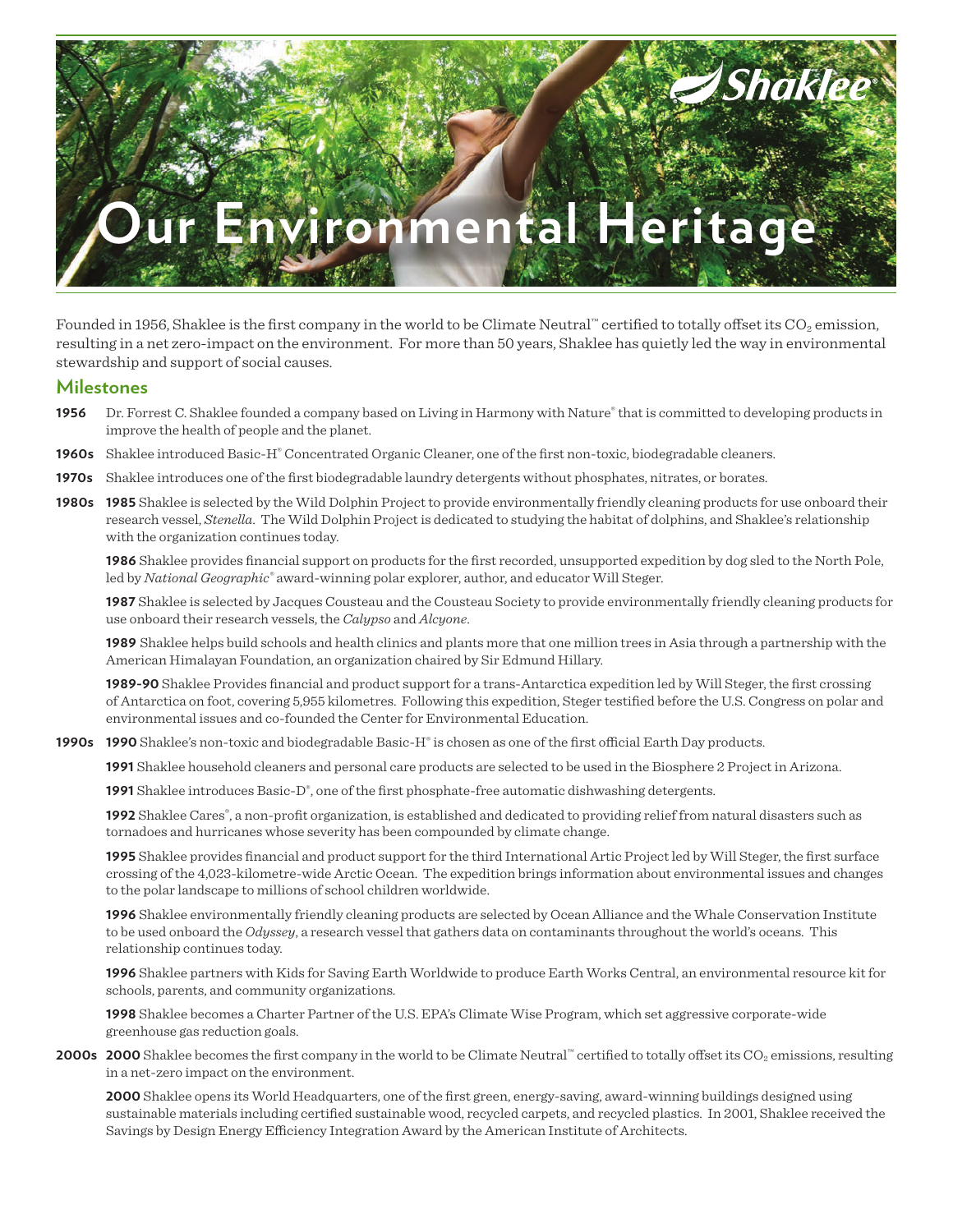# **Shaklee** ironmental Heritage

Founded in 1956, Shaklee is the first company in the world to be Climate Neutral™ certified to totally offset its  $CO_2$  emission, resulting in a net zero-impact on the environment. For more than 50 years, Shaklee has quietly led the way in environmental stewardship and support of social causes.

## **Milestones**

- **1956** Dr. Forrest C. Shaklee founded a company based on Living in Harmony with Nature® that is committed to developing products in improve the health of people and the planet.
- **1960s** Shaklee introduced Basic-H® Concentrated Organic Cleaner, one of the first non-toxic, biodegradable cleaners.
- **1970s** Shaklee introduces one of the first biodegradable laundry detergents without phosphates, nitrates, or borates.
- **1980s 1985** Shaklee is selected by the Wild Dolphin Project to provide environmentally friendly cleaning products for use onboard their research vessel, *Stenella*. The Wild Dolphin Project is dedicated to studying the habitat of dolphins, and Shaklee's relationship with the organization continues today.

**1986** Shaklee provides financial support on products for the first recorded, unsupported expedition by dog sled to the North Pole, led by *National Geographic®* award-winning polar explorer, author, and educator Will Steger.

**1987** Shaklee is selected by Jacques Cousteau and the Cousteau Society to provide environmentally friendly cleaning products for use onboard their research vessels, the *Calypso* and *Alcyone*.

**1989** Shaklee helps build schools and health clinics and plants more that one million trees in Asia through a partnership with the American Himalayan Foundation, an organization chaired by Sir Edmund Hillary.

**1989-90** Shaklee Provides financial and product support for a trans-Antarctica expedition led by Will Steger, the first crossing of Antarctica on foot, covering 5,955 kilometres. Following this expedition, Steger testified before the U.S. Congress on polar and environmental issues and co-founded the Center for Environmental Education.

**1990s 1990** Shaklee's non-toxic and biodegradable Basic-H® is chosen as one of the first official Earth Day products.

**1991** Shaklee household cleaners and personal care products are selected to be used in the Biosphere 2 Project in Arizona.

**1991** Shaklee introduces Basic-D® , one of the first phosphate-free automatic dishwashing detergents.

1992 Shaklee Cares®, a non-profit organization, is established and dedicated to providing relief from natural disasters such as tornadoes and hurricanes whose severity has been compounded by climate change.

**1995** Shaklee provides financial and product support for the third International Artic Project led by Will Steger, the first surface crossing of the 4,023-kilometre-wide Arctic Ocean. The expedition brings information about environmental issues and changes to the polar landscape to millions of school children worldwide.

**1996** Shaklee environmentally friendly cleaning products are selected by Ocean Alliance and the Whale Conservation Institute to be used onboard the *Odyssey*, a research vessel that gathers data on contaminants throughout the world's oceans. This relationship continues today.

**1996** Shaklee partners with Kids for Saving Earth Worldwide to produce Earth Works Central, an environmental resource kit for schools, parents, and community organizations.

**1998** Shaklee becomes a Charter Partner of the U.S. EPA's Climate Wise Program, which set aggressive corporate-wide greenhouse gas reduction goals.

**2000s** 2000 Shaklee becomes the first company in the world to be Climate Neutral™ certified to totally offset its CO<sub>2</sub> emissions, resulting in a net-zero impact on the environment.

**2000** Shaklee opens its World Headquarters, one of the first green, energy-saving, award-winning buildings designed using sustainable materials including certified sustainable wood, recycled carpets, and recycled plastics. In 2001, Shaklee received the Savings by Design Energy Efficiency Integration Award by the American Institute of Architects.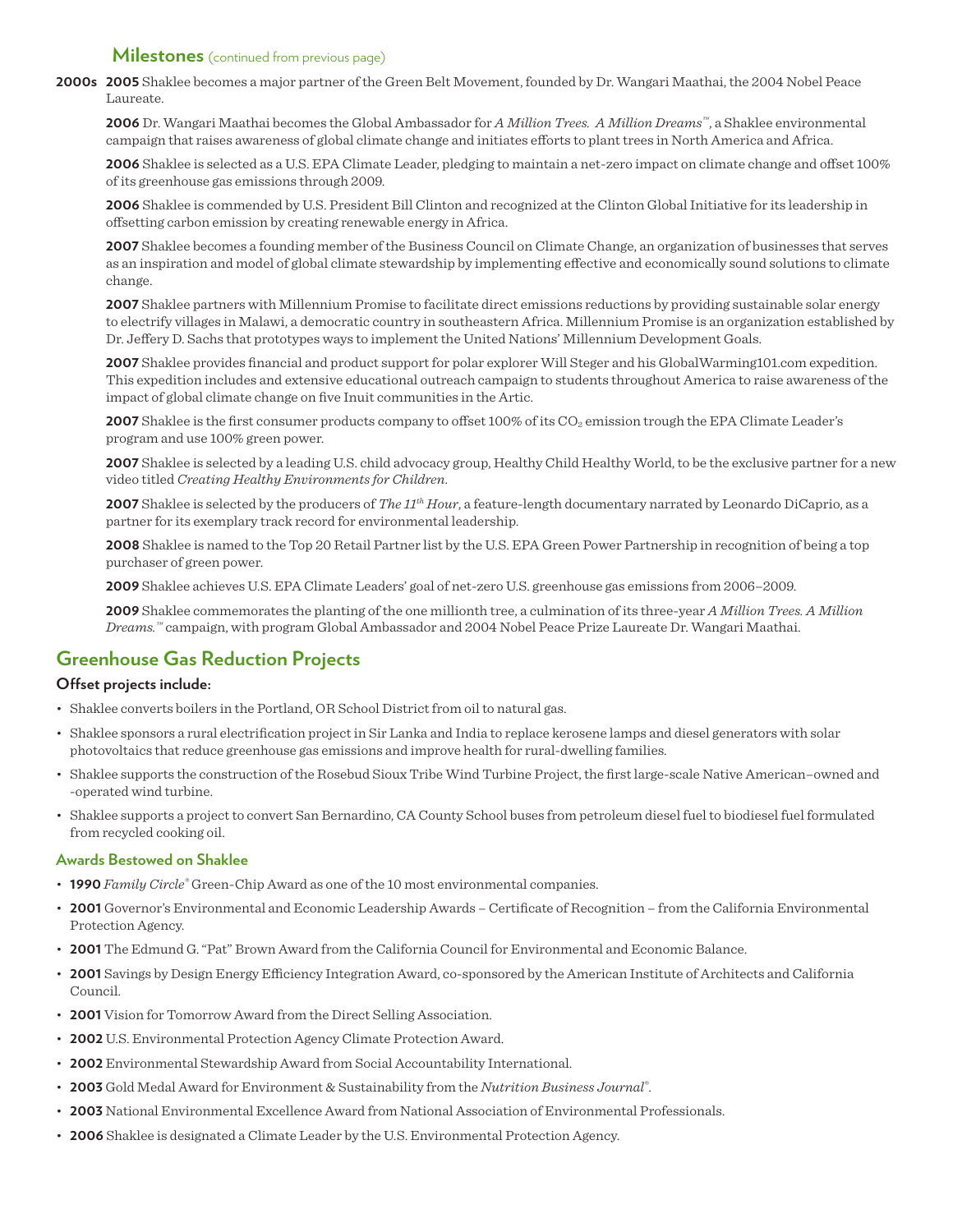### **Milestones** (continued from previous page)

**2000s 2005** Shaklee becomes a major partner of the Green Belt Movement, founded by Dr. Wangari Maathai, the 2004 Nobel Peace Laureate.

**2006** Dr. Wangari Maathai becomes the Global Ambassador for *A Million Trees. A Million Dreams™*, a Shaklee environmental campaign that raises awareness of global climate change and initiates efforts to plant trees in North America and Africa.

**2006** Shaklee is selected as a U.S. EPA Climate Leader, pledging to maintain a net-zero impact on climate change and offset 100% of its greenhouse gas emissions through 2009.

**2006** Shaklee is commended by U.S. President Bill Clinton and recognized at the Clinton Global Initiative for its leadership in offsetting carbon emission by creating renewable energy in Africa.

**2007** Shaklee becomes a founding member of the Business Council on Climate Change, an organization of businesses that serves as an inspiration and model of global climate stewardship by implementing effective and economically sound solutions to climate change.

**2007** Shaklee partners with Millennium Promise to facilitate direct emissions reductions by providing sustainable solar energy to electrify villages in Malawi, a democratic country in southeastern Africa. Millennium Promise is an organization established by Dr. Jeffery D. Sachs that prototypes ways to implement the United Nations' Millennium Development Goals.

**2007** Shaklee provides financial and product support for polar explorer Will Steger and his GlobalWarming101.com expedition. This expedition includes and extensive educational outreach campaign to students throughout America to raise awareness of the impact of global climate change on five Inuit communities in the Artic.

**2007** Shaklee is the first consumer products company to offset 100% of its CO<sub>2</sub> emission trough the EPA Climate Leader's program and use 100% green power.

**2007** Shaklee is selected by a leading U.S. child advocacy group, Healthy Child Healthy World, to be the exclusive partner for a new video titled *Creating Healthy Environments for Children*.

**2007** Shaklee is selected by the producers of *The 11th Hour*, a feature-length documentary narrated by Leonardo DiCaprio, as a partner for its exemplary track record for environmental leadership.

**2008** Shaklee is named to the Top 20 Retail Partner list by the U.S. EPA Green Power Partnership in recognition of being a top purchaser of green power.

**2009** Shaklee achieves U.S. EPA Climate Leaders' goal of net-zero U.S. greenhouse gas emissions from 2006–2009.

**2009** Shaklee commemorates the planting of the one millionth tree, a culmination of its three-year *A Million Trees. A Million Dreams.™* campaign, with program Global Ambassador and 2004 Nobel Peace Prize Laureate Dr. Wangari Maathai.

# **Greenhouse Gas Reduction Projects**

#### **Offset projects include:**

- • Shaklee converts boilers in the Portland, OR School District from oil to natural gas.
- • Shaklee sponsors a rural electrification project in Sir Lanka and India to replace kerosene lamps and diesel generators with solar photovoltaics that reduce greenhouse gas emissions and improve health for rural-dwelling families.
- • Shaklee supports the construction of the Rosebud Sioux Tribe Wind Turbine Project, the first large-scale Native American–owned and -operated wind turbine.
- • Shaklee supports a project to convert San Bernardino, CA County School buses from petroleum diesel fuel to biodiesel fuel formulated from recycled cooking oil.

#### **Awards Bestowed on Shaklee**

- • **1990** *Family Circle®* Green-Chip Award as one of the 10 most environmental companies.
- 2001 Governor's Environmental and Economic Leadership Awards Certificate of Recognition from the California Environmental Protection Agency.
- • **2001** The Edmund G. "Pat" Brown Award from the California Council for Environmental and Economic Balance.
- • **2001** Savings by Design Energy Efficiency Integration Award, co-sponsored by the American Institute of Architects and California Council.
- **2001** Vision for Tomorrow Award from the Direct Selling Association.
- • **2002** U.S. Environmental Protection Agency Climate Protection Award.
- • **2002** Environmental Stewardship Award from Social Accountability International.
- • **2003** Gold Medal Award for Environment & Sustainability from the *Nutrition Business Journal®* .
- • **2003** National Environmental Excellence Award from National Association of Environmental Professionals.
- • **2006** Shaklee is designated a Climate Leader by the U.S. Environmental Protection Agency.